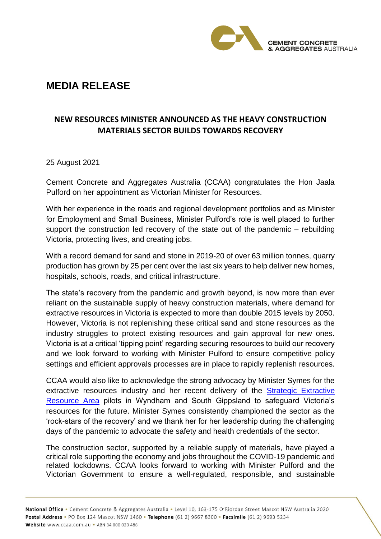

## **MEDIA RELEASE**

## **NEW RESOURCES MINISTER ANNOUNCED AS THE HEAVY CONSTRUCTION MATERIALS SECTOR BUILDS TOWARDS RECOVERY**

25 August 2021

Cement Concrete and Aggregates Australia (CCAA) congratulates the Hon Jaala Pulford on her appointment as Victorian Minister for Resources.

With her experience in the roads and regional development portfolios and as Minister for Employment and Small Business, Minister Pulford's role is well placed to further support the construction led recovery of the state out of the pandemic – rebuilding Victoria, protecting lives, and creating jobs.

With a record demand for sand and stone in 2019-20 of over 63 million tonnes, quarry production has grown by 25 per cent over the last six years to help deliver new homes, hospitals, schools, roads, and critical infrastructure.

The state's recovery from the pandemic and growth beyond, is now more than ever reliant on the sustainable supply of heavy construction materials, where demand for extractive resources in Victoria is expected to more than double 2015 levels by 2050. However, Victoria is not replenishing these critical sand and stone resources as the industry struggles to protect existing resources and gain approval for new ones. Victoria is at a critical 'tipping point' regarding securing resources to build our recovery and we look forward to working with Minister Pulford to ensure competitive policy settings and efficient approvals processes are in place to rapidly replenish resources.

CCAA would also like to acknowledge the strong advocacy by Minister Symes for the extractive resources industry and her recent delivery of the Strategic Extractive [Resource Area](https://earthresources.vic.gov.au/projects/strategic-extractive-resource-areas?utm_source=earthresources-offline-marketing&utm_medium=vanity-url-301ssredirect&utm_content=sera&utm_campaign=earth-resources) pilots in Wyndham and South Gippsland to safeguard Victoria's resources for the future. Minister Symes consistently championed the sector as the 'rock-stars of the recovery' and we thank her for her leadership during the challenging days of the pandemic to advocate the safety and health credentials of the sector.

The construction sector, supported by a reliable supply of materials, have played a critical role supporting the economy and jobs throughout the COVID-19 pandemic and related lockdowns. CCAA looks forward to working with Minister Pulford and the Victorian Government to ensure a well-regulated, responsible, and sustainable